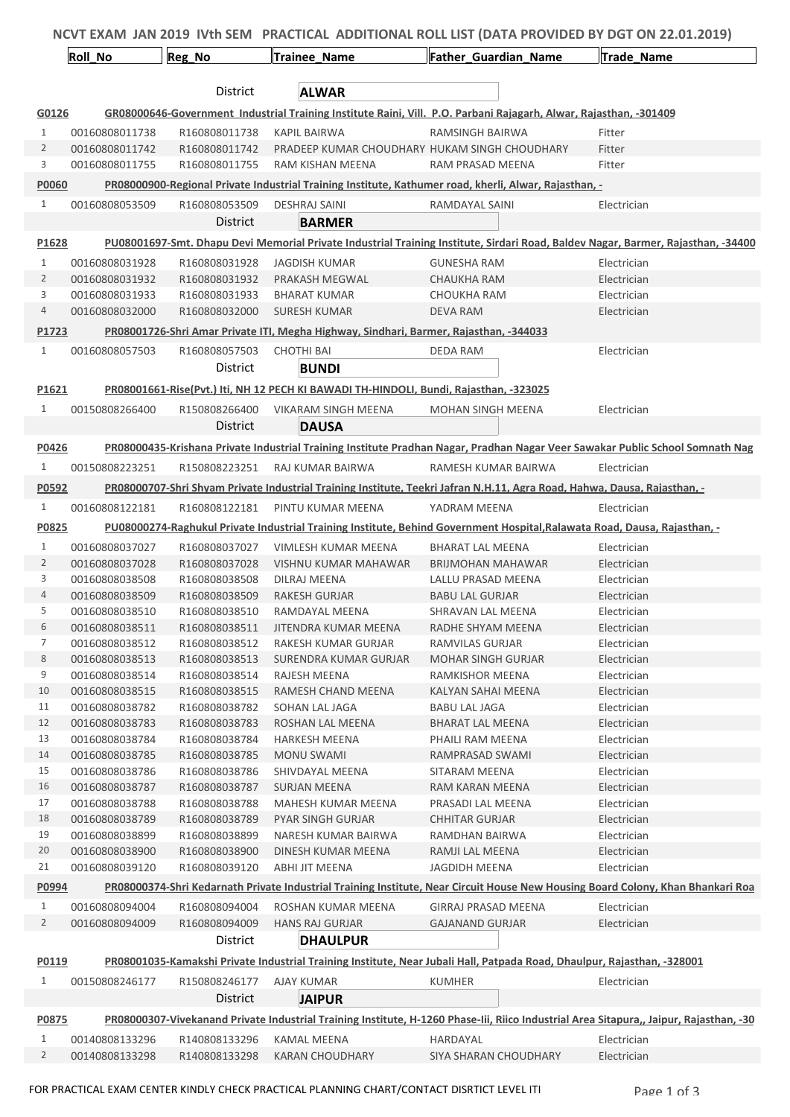|                | NCVT EXAM JAN 2019 IVth SEM PRACTICAL ADDITIONAL ROLL LIST (DATA PROVIDED BY DGT ON 22.01.2019) |                                |                                                                                       |                                                                                                                           |                                                                                                                                        |  |
|----------------|-------------------------------------------------------------------------------------------------|--------------------------------|---------------------------------------------------------------------------------------|---------------------------------------------------------------------------------------------------------------------------|----------------------------------------------------------------------------------------------------------------------------------------|--|
|                | Roll_No                                                                                         | Reg_No                         | Trainee_Name                                                                          | Father Guardian Name                                                                                                      | Trade Name                                                                                                                             |  |
|                |                                                                                                 |                                |                                                                                       |                                                                                                                           |                                                                                                                                        |  |
|                |                                                                                                 | District                       | <b>ALWAR</b>                                                                          |                                                                                                                           |                                                                                                                                        |  |
| G0126          |                                                                                                 |                                |                                                                                       | GR08000646-Government Industrial Training Institute Raini, Vill. P.O. Parbani Rajagarh, Alwar, Rajasthan, -301409         |                                                                                                                                        |  |
| 1              | 00160808011738                                                                                  | R160808011738                  | <b>KAPIL BAIRWA</b>                                                                   | <b>RAMSINGH BAIRWA</b>                                                                                                    | Fitter                                                                                                                                 |  |
| $\overline{2}$ | 00160808011742                                                                                  | R160808011742                  |                                                                                       | PRADEEP KUMAR CHOUDHARY HUKAM SINGH CHOUDHARY                                                                             | Fitter                                                                                                                                 |  |
| 3              | 00160808011755                                                                                  | R160808011755                  | RAM KISHAN MEENA                                                                      | RAM PRASAD MEENA                                                                                                          | Fitter                                                                                                                                 |  |
| P0060          |                                                                                                 |                                |                                                                                       | PR08000900-Regional Private Industrial Training Institute, Kathumer road, kherli, Alwar, Rajasthan, -                     |                                                                                                                                        |  |
| $\mathbf{1}$   | 00160808053509                                                                                  | R160808053509                  | <b>DESHRAJ SAINI</b>                                                                  | RAMDAYAL SAINI                                                                                                            | Electrician                                                                                                                            |  |
|                |                                                                                                 | District                       | <b>BARMER</b>                                                                         |                                                                                                                           |                                                                                                                                        |  |
| P1628          |                                                                                                 |                                |                                                                                       |                                                                                                                           | PU08001697-Smt. Dhapu Devi Memorial Private Industrial Training Institute, Sirdari Road, Baldev Nagar, Barmer, Rajasthan, -34400       |  |
| $\mathbf{1}$   | 00160808031928                                                                                  | R160808031928                  | JAGDISH KUMAR                                                                         | <b>GUNESHA RAM</b>                                                                                                        | Electrician                                                                                                                            |  |
| $\overline{2}$ | 00160808031932                                                                                  | R160808031932                  | PRAKASH MEGWAL                                                                        | CHAUKHA RAM                                                                                                               | Electrician                                                                                                                            |  |
| 3              | 00160808031933                                                                                  | R160808031933                  | <b>BHARAT KUMAR</b>                                                                   | CHOUKHA RAM                                                                                                               | Electrician                                                                                                                            |  |
| $\overline{4}$ | 00160808032000                                                                                  | R160808032000                  | <b>SURESH KUMAR</b>                                                                   | DEVA RAM                                                                                                                  | Electrician                                                                                                                            |  |
| P1723          |                                                                                                 |                                | PR08001726-Shri Amar Private ITI, Megha Highway, Sindhari, Barmer, Rajasthan, -344033 |                                                                                                                           |                                                                                                                                        |  |
| $\mathbf{1}$   | 00160808057503                                                                                  | R160808057503                  | <b>CHOTHI BAI</b>                                                                     | DEDA RAM                                                                                                                  | Electrician                                                                                                                            |  |
|                |                                                                                                 | District                       | <b>BUNDI</b>                                                                          |                                                                                                                           |                                                                                                                                        |  |
| P1621          |                                                                                                 |                                | PR08001661-Rise(Pvt.) Iti, NH 12 PECH KI BAWADI TH-HINDOLI, Bundi, Rajasthan, -323025 |                                                                                                                           |                                                                                                                                        |  |
| $\mathbf{1}$   | 00150808266400                                                                                  | R150808266400                  | VIKARAM SINGH MEENA                                                                   | <b>MOHAN SINGH MEENA</b>                                                                                                  | Electrician                                                                                                                            |  |
|                |                                                                                                 | District                       | <b>DAUSA</b>                                                                          |                                                                                                                           |                                                                                                                                        |  |
|                |                                                                                                 |                                |                                                                                       |                                                                                                                           |                                                                                                                                        |  |
| P0426          |                                                                                                 |                                |                                                                                       |                                                                                                                           | PR08000435-Krishana Private Industrial Training Institute Pradhan Nagar, Pradhan Nagar Veer Sawakar Public School Somnath Nag          |  |
| 1              | 00150808223251                                                                                  | R150808223251                  | RAJ KUMAR BAIRWA                                                                      | RAMESH KUMAR BAIRWA                                                                                                       | Electrician                                                                                                                            |  |
| P0592          |                                                                                                 |                                |                                                                                       | PR08000707-Shri Shyam Private Industrial Training Institute, Teekri Jafran N.H.11, Agra Road, Hahwa, Dausa, Rajasthan, -  |                                                                                                                                        |  |
| $\mathbf{1}$   | 00160808122181                                                                                  | R160808122181                  | PINTU KUMAR MEENA                                                                     | YADRAM MEENA                                                                                                              | Electrician                                                                                                                            |  |
| P0825          |                                                                                                 |                                |                                                                                       | PU08000274-Raghukul Private Industrial Training Institute, Behind Government Hospital, Ralawata Road, Dausa, Rajasthan, - |                                                                                                                                        |  |
| 1              | 00160808037027                                                                                  | R160808037027                  | VIMLESH KUMAR MEENA                                                                   | <b>BHARAT LAL MEENA</b>                                                                                                   | Electrician                                                                                                                            |  |
| $\overline{2}$ | 00160808037028                                                                                  | R160808037028                  | VISHNU KUMAR MAHAWAR                                                                  | <b>BRIJMOHAN MAHAWAR</b>                                                                                                  | Electrician                                                                                                                            |  |
| 3              | 00160808038508                                                                                  | R160808038508                  | DILRAJ MEENA                                                                          | LALLU PRASAD MEENA                                                                                                        | Electrician                                                                                                                            |  |
| 4              | 00160808038509                                                                                  | R160808038509                  | <b>RAKESH GURJAR</b>                                                                  | <b>BABU LAL GURJAR</b>                                                                                                    | Electrician                                                                                                                            |  |
| 5              | 00160808038510                                                                                  | R160808038510                  | RAMDAYAL MEENA                                                                        | SHRAVAN LAL MEENA                                                                                                         | Electrician                                                                                                                            |  |
| 6              | 00160808038511                                                                                  | R160808038511                  | JITENDRA KUMAR MEENA                                                                  | RADHE SHYAM MEENA                                                                                                         | Electrician                                                                                                                            |  |
| 7              | 00160808038512                                                                                  | R160808038512                  | RAKESH KUMAR GURJAR                                                                   | RAMVILAS GURJAR                                                                                                           | Electrician                                                                                                                            |  |
| 8              | 00160808038513                                                                                  | R160808038513                  | SURENDRA KUMAR GURJAR                                                                 | <b>MOHAR SINGH GURJAR</b>                                                                                                 | Electrician                                                                                                                            |  |
| 9              | 00160808038514                                                                                  | R160808038514                  | <b>RAJESH MEENA</b>                                                                   | RAMKISHOR MEENA                                                                                                           | Electrician                                                                                                                            |  |
| 10             | 00160808038515                                                                                  | R160808038515                  | RAMESH CHAND MEENA                                                                    | <b>KALYAN SAHAI MEENA</b>                                                                                                 | Electrician                                                                                                                            |  |
| 11<br>12       | 00160808038782                                                                                  | R160808038782                  | SOHAN LAL JAGA                                                                        | <b>BABU LAL JAGA</b><br><b>BHARAT LAL MEENA</b>                                                                           | Electrician                                                                                                                            |  |
| 13             | 00160808038783<br>00160808038784                                                                | R160808038783<br>R160808038784 | ROSHAN LAL MEENA<br><b>HARKESH MEENA</b>                                              | PHAILI RAM MEENA                                                                                                          | Electrician<br>Electrician                                                                                                             |  |
| 14             | 00160808038785                                                                                  | R160808038785                  | <b>MONU SWAMI</b>                                                                     | RAMPRASAD SWAMI                                                                                                           | Electrician                                                                                                                            |  |
| 15             | 00160808038786                                                                                  | R160808038786                  | SHIVDAYAL MEENA                                                                       | SITARAM MEENA                                                                                                             | Electrician                                                                                                                            |  |
| 16             | 00160808038787                                                                                  | R160808038787                  | <b>SURJAN MEENA</b>                                                                   | RAM KARAN MEENA                                                                                                           | Electrician                                                                                                                            |  |
| 17             | 00160808038788                                                                                  | R160808038788                  | MAHESH KUMAR MEENA                                                                    | PRASADI LAL MEENA                                                                                                         | Electrician                                                                                                                            |  |
| 18             | 00160808038789                                                                                  | R160808038789                  | <b>PYAR SINGH GURJAR</b>                                                              | <b>CHHITAR GURJAR</b>                                                                                                     | Electrician                                                                                                                            |  |
| 19             | 00160808038899                                                                                  | R160808038899                  | NARESH KUMAR BAIRWA                                                                   | RAMDHAN BAIRWA                                                                                                            | Electrician                                                                                                                            |  |
| 20             | 00160808038900                                                                                  | R160808038900                  | DINESH KUMAR MEENA                                                                    | RAMJI LAL MEENA                                                                                                           | Electrician                                                                                                                            |  |
| 21             | 00160808039120                                                                                  | R160808039120                  | ABHI JIT MEENA                                                                        | JAGDIDH MEENA                                                                                                             | Electrician                                                                                                                            |  |
| P0994          |                                                                                                 |                                |                                                                                       |                                                                                                                           | PR08000374-Shri Kedarnath Private Industrial Training Institute, Near Circuit House New Housing Board Colony, Khan Bhankari Roa        |  |
| $\mathbf{1}$   | 00160808094004                                                                                  | R160808094004                  | ROSHAN KUMAR MEENA                                                                    | <b>GIRRAJ PRASAD MEENA</b>                                                                                                | Electrician                                                                                                                            |  |
| $\overline{2}$ | 00160808094009                                                                                  | R160808094009                  | <b>HANS RAJ GURJAR</b>                                                                | <b>GAJANAND GURJAR</b>                                                                                                    | Electrician                                                                                                                            |  |
|                |                                                                                                 | District                       | <b>DHAULPUR</b>                                                                       |                                                                                                                           |                                                                                                                                        |  |
| P0119          |                                                                                                 |                                |                                                                                       | PR08001035-Kamakshi Private Industrial Training Institute, Near Jubali Hall, Patpada Road, Dhaulpur, Rajasthan, -328001   |                                                                                                                                        |  |
| $\mathbf{1}$   | 00150808246177                                                                                  | R150808246177                  | <b>AJAY KUMAR</b>                                                                     | <b>KUMHER</b>                                                                                                             | Electrician                                                                                                                            |  |
|                |                                                                                                 | District                       | <b>JAIPUR</b>                                                                         |                                                                                                                           |                                                                                                                                        |  |
| P0875          |                                                                                                 |                                |                                                                                       |                                                                                                                           | PR08000307-Vivekanand Private Industrial Training Institute, H-1260 Phase-lii, Riico Industrial Area Sitapura,, Jaipur, Rajasthan, -30 |  |
| $\mathbf{1}$   | 00140808133296                                                                                  | R140808133296                  | <b>KAMAL MEENA</b>                                                                    | HARDAYAL                                                                                                                  | Electrician                                                                                                                            |  |
| $\overline{2}$ | 00140808133298                                                                                  | R140808133298                  | <b>KARAN CHOUDHARY</b>                                                                | SIYA SHARAN CHOUDHARY                                                                                                     | Electrician                                                                                                                            |  |
|                |                                                                                                 |                                |                                                                                       |                                                                                                                           |                                                                                                                                        |  |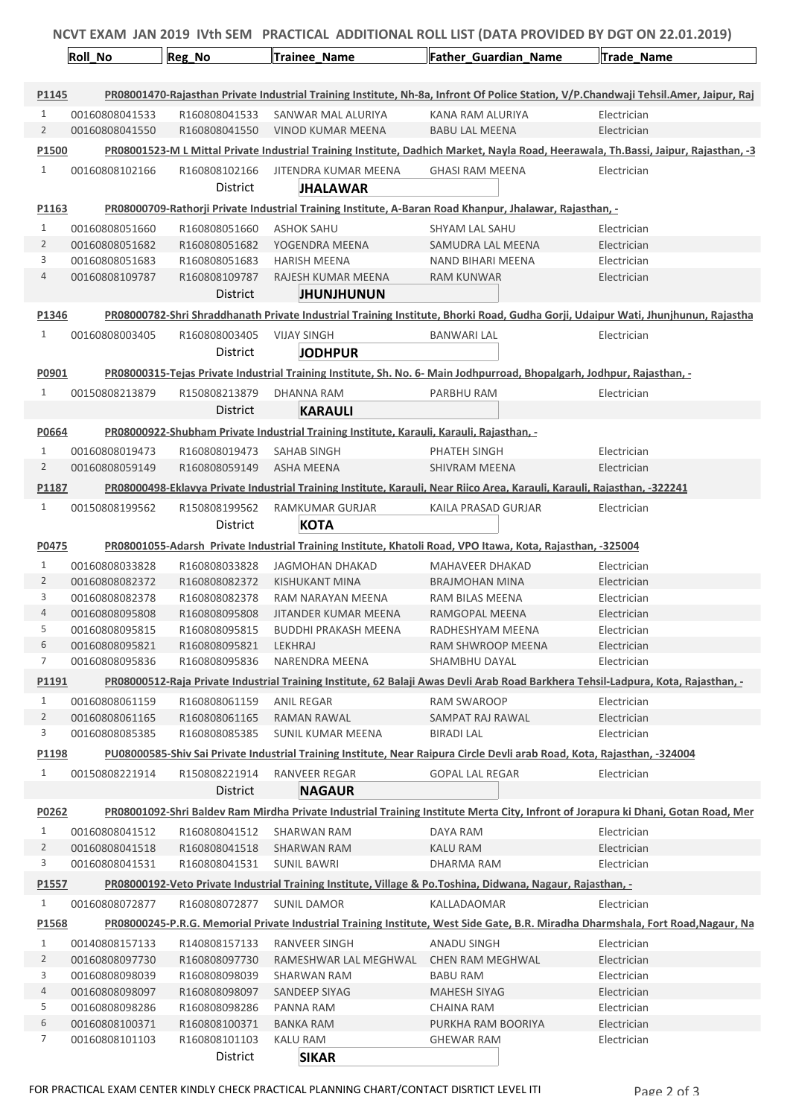| NCVT EXAM JAN 2019 IVth SEM PRACTICAL ADDITIONAL ROLL LIST (DATA PROVIDED BY DGT ON 22.01.2019) |                |                 |                                                                                          |                                                                                                                          |                                                                                                                                      |  |
|-------------------------------------------------------------------------------------------------|----------------|-----------------|------------------------------------------------------------------------------------------|--------------------------------------------------------------------------------------------------------------------------|--------------------------------------------------------------------------------------------------------------------------------------|--|
|                                                                                                 | <b>Roll_No</b> | Reg_No          | <b>Trainee_Name</b>                                                                      | Father_Guardian_Name                                                                                                     | <b>Trade Name</b>                                                                                                                    |  |
| P1145                                                                                           |                |                 |                                                                                          |                                                                                                                          | PR08001470-Rajasthan Private Industrial Training Institute, Nh-8a, Infront Of Police Station, V/P.Chandwaji Tehsil.Amer, Jaipur, Raj |  |
| $\mathbf{1}$                                                                                    | 00160808041533 | R160808041533   | SANWAR MAL ALURIYA                                                                       | KANA RAM ALURIYA                                                                                                         | Electrician                                                                                                                          |  |
| $\overline{2}$                                                                                  | 00160808041550 | R160808041550   | VINOD KUMAR MEENA                                                                        | <b>BABU LAL MEENA</b>                                                                                                    | Electrician                                                                                                                          |  |
| P1500                                                                                           |                |                 |                                                                                          |                                                                                                                          | PR08001523-M L Mittal Private Industrial Training Institute, Dadhich Market, Nayla Road, Heerawala, Th.Bassi, Jaipur, Rajasthan, -3  |  |
| $\mathbf{1}$                                                                                    | 00160808102166 | R160808102166   | JITENDRA KUMAR MEENA                                                                     | <b>GHASI RAM MEENA</b>                                                                                                   | Electrician                                                                                                                          |  |
|                                                                                                 |                | <b>District</b> | <b>JHALAWAR</b>                                                                          |                                                                                                                          |                                                                                                                                      |  |
| P1163                                                                                           |                |                 |                                                                                          | PR08000709-Rathorji Private Industrial Training Institute, A-Baran Road Khanpur, Jhalawar, Rajasthan, -                  |                                                                                                                                      |  |
| $\mathbf{1}$                                                                                    | 00160808051660 | R160808051660   | <b>ASHOK SAHU</b>                                                                        | SHYAM LAL SAHU                                                                                                           | Electrician                                                                                                                          |  |
| $\overline{2}$                                                                                  | 00160808051682 | R160808051682   | YOGENDRA MEENA                                                                           | SAMUDRA LAL MEENA                                                                                                        | Electrician                                                                                                                          |  |
| 3                                                                                               | 00160808051683 | R160808051683   | <b>HARISH MEENA</b>                                                                      | NAND BIHARI MEENA                                                                                                        | Electrician                                                                                                                          |  |
| 4                                                                                               | 00160808109787 | R160808109787   | RAJESH KUMAR MEENA                                                                       | RAM KUNWAR                                                                                                               | Electrician                                                                                                                          |  |
|                                                                                                 |                | <b>District</b> | <b>JHUNJHUNUN</b>                                                                        |                                                                                                                          |                                                                                                                                      |  |
| P1346                                                                                           |                |                 |                                                                                          |                                                                                                                          | PR08000782-Shri Shraddhanath Private Industrial Training Institute, Bhorki Road, Gudha Gorji, Udaipur Wati, Jhunjhunun, Rajastha     |  |
| $\mathbf{1}$                                                                                    | 00160808003405 | R160808003405   | <b>VIJAY SINGH</b>                                                                       | <b>BANWARI LAL</b>                                                                                                       | Electrician                                                                                                                          |  |
|                                                                                                 |                | District        | <b>JODHPUR</b>                                                                           |                                                                                                                          |                                                                                                                                      |  |
| P0901                                                                                           |                |                 |                                                                                          | PR08000315-Tejas Private Industrial Training Institute, Sh. No. 6- Main Jodhpurroad, Bhopalgarh, Jodhpur, Rajasthan, -   |                                                                                                                                      |  |
| 1                                                                                               | 00150808213879 | R150808213879   | DHANNA RAM                                                                               | PARBHU RAM                                                                                                               | Electrician                                                                                                                          |  |
|                                                                                                 |                | District        | <b>KARAULI</b>                                                                           |                                                                                                                          |                                                                                                                                      |  |
| P0664                                                                                           |                |                 | PR08000922-Shubham Private Industrial Training Institute, Karauli, Karauli, Rajasthan, - |                                                                                                                          |                                                                                                                                      |  |
| 1                                                                                               | 00160808019473 | R160808019473   | <b>SAHAB SINGH</b>                                                                       | PHATEH SINGH                                                                                                             | Electrician                                                                                                                          |  |
| 2                                                                                               | 00160808059149 | R160808059149   | ASHA MEENA                                                                               | SHIVRAM MEENA                                                                                                            | Electrician                                                                                                                          |  |
| P1187                                                                                           |                |                 |                                                                                          | PR08000498-Eklavya Private Industrial Training Institute, Karauli, Near Riico Area, Karauli, Karauli, Rajasthan, -322241 |                                                                                                                                      |  |
| $\mathbf{1}$                                                                                    |                |                 |                                                                                          |                                                                                                                          |                                                                                                                                      |  |
|                                                                                                 | 00150808199562 | R150808199562   | RAMKUMAR GURJAR                                                                          | KAILA PRASAD GURJAR                                                                                                      | Electrician                                                                                                                          |  |
|                                                                                                 |                | District        | <b>KOTA</b>                                                                              |                                                                                                                          |                                                                                                                                      |  |
| P0475                                                                                           |                |                 |                                                                                          | PR08001055-Adarsh Private Industrial Training Institute, Khatoli Road, VPO Itawa, Kota, Rajasthan, -325004               |                                                                                                                                      |  |
| 1                                                                                               | 00160808033828 | R160808033828   | <b>JAGMOHAN DHAKAD</b>                                                                   | MAHAVEER DHAKAD                                                                                                          | Electrician                                                                                                                          |  |
| 2                                                                                               | 00160808082372 | R160808082372   | KISHUKANT MINA                                                                           | <b>BRAJMOHAN MINA</b>                                                                                                    | Electrician                                                                                                                          |  |
| 3                                                                                               | 00160808082378 | R160808082378   | RAM NARAYAN MEENA                                                                        | RAM BILAS MEENA                                                                                                          | Electrician                                                                                                                          |  |
| 4                                                                                               | 00160808095808 | R160808095808   | JITANDER KUMAR MEENA                                                                     | RAMGOPAL MEENA                                                                                                           | Electrician                                                                                                                          |  |
| 5                                                                                               | 00160808095815 | R160808095815   | <b>BUDDHI PRAKASH MEENA</b>                                                              | RADHESHYAM MEENA                                                                                                         | Electrician                                                                                                                          |  |
| 6                                                                                               | 00160808095821 | R160808095821   | LEKHRAJ                                                                                  | RAM SHWROOP MEENA                                                                                                        | Electrician                                                                                                                          |  |
| 7                                                                                               | 00160808095836 | R160808095836   | <b>NARENDRA MEENA</b>                                                                    | <b>SHAMBHU DAYAL</b>                                                                                                     | Electrician                                                                                                                          |  |
| P1191                                                                                           |                |                 |                                                                                          |                                                                                                                          | PR08000512-Raja Private Industrial Training Institute, 62 Balaji Awas Devli Arab Road Barkhera Tehsil-Ladpura, Kota, Rajasthan, -    |  |
| $\mathbf{1}$                                                                                    | 00160808061159 | R160808061159   | ANIL REGAR                                                                               | RAM SWAROOP                                                                                                              | Electrician                                                                                                                          |  |
| 2                                                                                               | 00160808061165 | R160808061165   | RAMAN RAWAL                                                                              | SAMPAT RAJ RAWAL                                                                                                         | Electrician                                                                                                                          |  |
| 3                                                                                               | 00160808085385 | R160808085385   | <b>SUNIL KUMAR MEENA</b>                                                                 | <b>BIRADI LAL</b>                                                                                                        | Electrician                                                                                                                          |  |
| P1198                                                                                           |                |                 |                                                                                          | PU08000585-Shiv Sai Private Industrial Training Institute, Near Raipura Circle Devli arab Road, Kota, Rajasthan, -324004 |                                                                                                                                      |  |
| $\mathbf{1}$                                                                                    | 00150808221914 | R150808221914   | RANVEER REGAR                                                                            | <b>GOPAL LAL REGAR</b>                                                                                                   | Electrician                                                                                                                          |  |
|                                                                                                 |                | <b>District</b> | <b>NAGAUR</b>                                                                            |                                                                                                                          |                                                                                                                                      |  |
| P0262                                                                                           |                |                 |                                                                                          |                                                                                                                          | PR08001092-Shri Baldev Ram Mirdha Private Industrial Training Institute Merta City, Infront of Jorapura ki Dhani, Gotan Road, Mer    |  |
| 1                                                                                               | 00160808041512 | R160808041512   | SHARWAN RAM                                                                              | DAYA RAM                                                                                                                 | Electrician                                                                                                                          |  |
| $\overline{2}$                                                                                  | 00160808041518 | R160808041518   | <b>SHARWAN RAM</b>                                                                       | KALU RAM                                                                                                                 | Electrician                                                                                                                          |  |
| 3                                                                                               | 00160808041531 | R160808041531   | <b>SUNIL BAWRI</b>                                                                       | DHARMA RAM                                                                                                               | Electrician                                                                                                                          |  |
| P <sub>1557</sub>                                                                               |                |                 |                                                                                          | PR08000192-Veto Private Industrial Training Institute, Village & Po.Toshina, Didwana, Nagaur, Rajasthan, -               |                                                                                                                                      |  |
| $\mathbf{1}$                                                                                    | 00160808072877 | R160808072877   | <b>SUNIL DAMOR</b>                                                                       | KALLADAOMAR                                                                                                              | Electrician                                                                                                                          |  |
| P1568                                                                                           |                |                 |                                                                                          |                                                                                                                          | PR08000245-P.R.G. Memorial Private Industrial Training Institute, West Side Gate, B.R. Miradha Dharmshala, Fort Road, Nagaur, Na     |  |
| 1                                                                                               | 00140808157133 | R140808157133   | <b>RANVEER SINGH</b>                                                                     | ANADU SINGH                                                                                                              | Electrician                                                                                                                          |  |
| $\overline{2}$                                                                                  | 00160808097730 | R160808097730   | RAMESHWAR LAL MEGHWAL                                                                    | <b>CHEN RAM MEGHWAL</b>                                                                                                  | Electrician                                                                                                                          |  |
| 3                                                                                               | 00160808098039 | R160808098039   | SHARWAN RAM                                                                              | BABU RAM                                                                                                                 | Electrician                                                                                                                          |  |
| 4                                                                                               | 00160808098097 | R160808098097   | SANDEEP SIYAG                                                                            | <b>MAHESH SIYAG</b>                                                                                                      | Electrician                                                                                                                          |  |
| 5                                                                                               | 00160808098286 | R160808098286   | PANNA RAM                                                                                | CHAINA RAM                                                                                                               | Electrician                                                                                                                          |  |
| 6                                                                                               | 00160808100371 | R160808100371   | <b>BANKA RAM</b>                                                                         | PURKHA RAM BOORIYA                                                                                                       | Electrician                                                                                                                          |  |
| 7                                                                                               | 00160808101103 | R160808101103   | KALU RAM                                                                                 | GHEWAR RAM                                                                                                               | Electrician                                                                                                                          |  |
|                                                                                                 |                | District        | <b>SIKAR</b>                                                                             |                                                                                                                          |                                                                                                                                      |  |